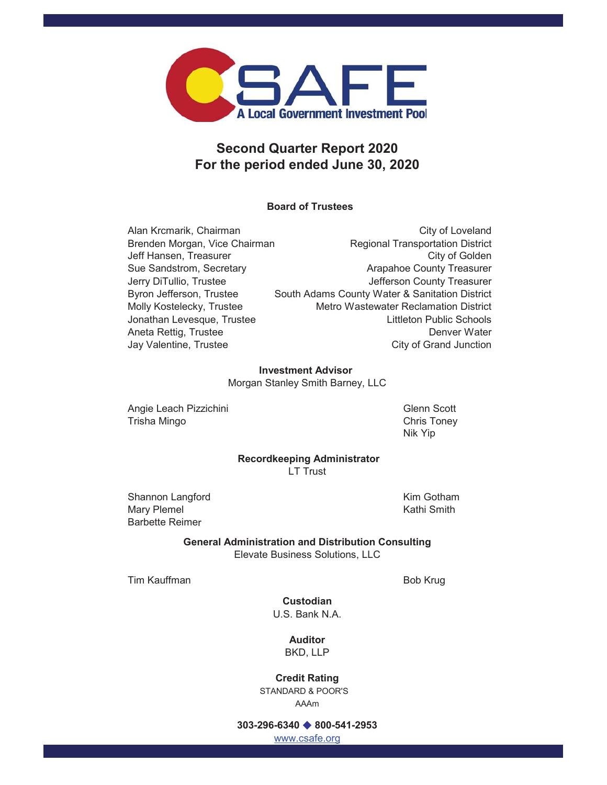

# **Second Quarter Report 2020 For the period ended June 30, 2020**

# **Board of Trustees**

Alan Krcmarik, Chairman **Chairman** City of Loveland Brenden Morgan, Vice Chairman Regional Transportation District Jeff Hansen, Treasurer City of Golden Sue Sandstrom, Secretary **Arapahoe County Treasurer** Arapahoe County Treasurer Jerry DiTullio, Trustee **Jefferson County Treasurer** Byron Jefferson, Trustee South Adams County Water & Sanitation District Molly Kostelecky, Trustee Metro Wastewater Reclamation District Jonathan Levesque, Trustee Littleton Public Schools Aneta Rettig, Trustee **Denver Water** Denver Water Jay Valentine, Trustee City of Grand Junction

### **Investment Advisor**

Morgan Stanley Smith Barney, LLC

Angie Leach Pizzichini Glenn Scott Trisha Mingo **Chris Toney** 

Nik Yip

### **Recordkeeping Administrator** LT Trust

Shannon Langford **Kim Gotham** Mary Plemel **Mary Plemel Kathi Smith** Barbette Reimer

**General Administration and Distribution Consulting** Elevate Business Solutions, LLC

Tim Kauffman Bob Krug

U.S. Bank N.A. **Custodian**

> BKD, LLP **Auditor**

# STANDARD & POOR'S AAAm **Credit Rating**

# **303-296-6340 800-541-2953**

www.csafe.org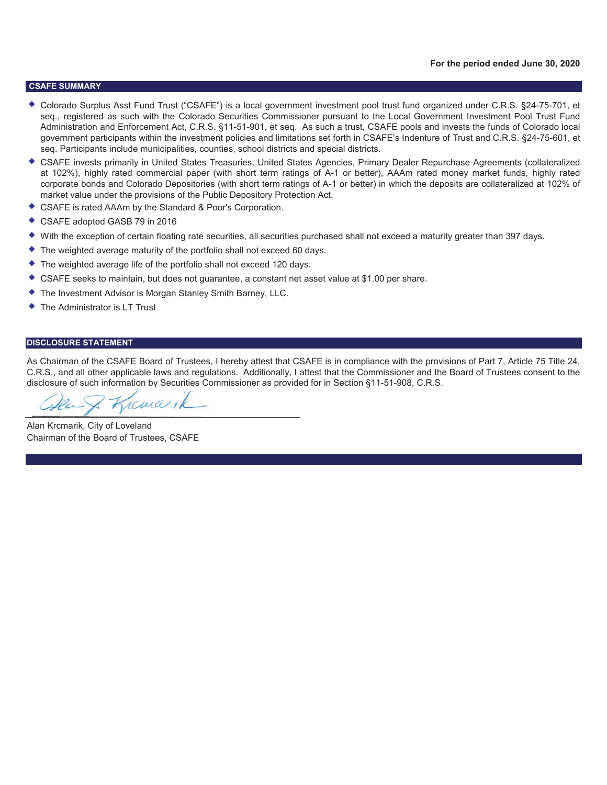#### **CSAFE SUMMARY**

- ◆ Colorado Surplus Asst Fund Trust ("CSAFE") is a local government investment pool trust fund organized under C.R.S. §24-75-701, et seq., registered as such with the Colorado Securities Commissioner pursuant to the Local Government Investment Pool Trust Fund Administration and Enforcement Act, C.R.S. §11-51-901, et seq. As such a trust, CSAFE pools and invests the funds of Colorado local government participants within the investment policies and limitations set forth in CSAFE's Indenture of Trust and C.R.S. §24-75-601, et seq. Participants include municipalities, counties, school districts and special districts.
- CSAFE invests primarily in United States Treasuries, United States Agencies, Primary Dealer Repurchase Agreements (collateralized at 102%), highly rated commercial paper (with short term ratings of A-1 or better), AAAm rated money market funds, highly rated corporate bonds and Colorado Depositories (with short term ratings of A-1 or better) in which the deposits are collateralized at 102% of market value under the provisions of the Public Depository Protection Act.
- CSAFE is rated AAAm by the Standard & Poor's Corporation.
- ◆ CSAFE adopted GASB 79 in 2016
- With the exception of certain floating rate securities, all securities purchased shall not exceed a maturity greater than 397 days.
- The weighted average maturity of the portfolio shall not exceed 60 days.
- ◆ The weighted average life of the portfolio shall not exceed 120 days.
- CSAFE seeks to maintain, but does not guarantee, a constant net asset value at \$1.00 per share.
- The Investment Advisor is Morgan Stanley Smith Barney, LLC.
- The Administrator is LT Trust

#### **DISCLOSURE STATEMENT**

As Chairman of the CSAFE Board of Trustees, I hereby attest that CSAFE is in compliance with the provisions of Part 7, Article 75 Title 24, C.R.S., and all other applicable laws and regulations. Additionally, I attest that the Commissioner and the Board of Trustees consent to the disclosure of such information by Securities Commissioner as provided for in Section §11-51-908, C.R.S.

remare

Alan Krcmarik, City of Loveland Chairman of the Board of Trustees, CSAFE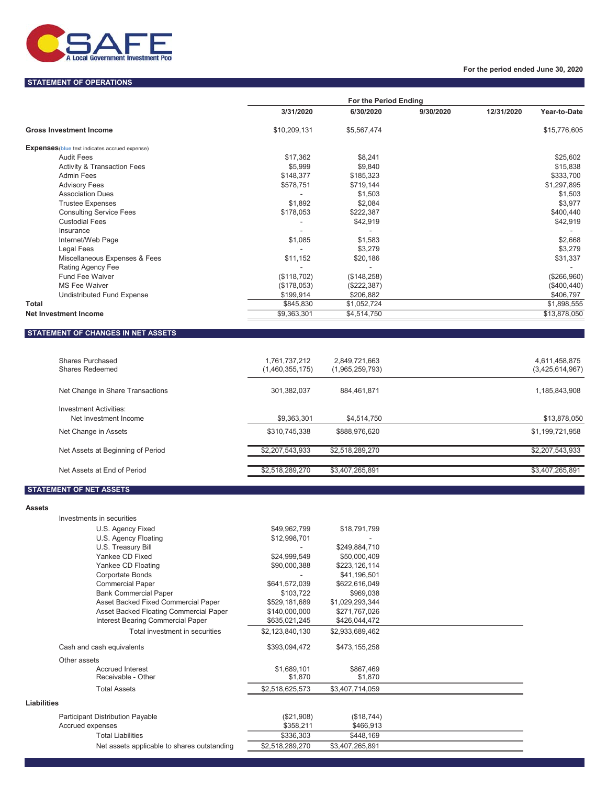

### **STATEMENT OF OPERATIONS**

### **For the period ended June 30, 2020**

|                                                       | For the Period Ending |             |           |            |              |
|-------------------------------------------------------|-----------------------|-------------|-----------|------------|--------------|
|                                                       | 3/31/2020             | 6/30/2020   | 9/30/2020 | 12/31/2020 | Year-to-Date |
| <b>Gross Investment Income</b>                        | \$10,209,131          | \$5,567,474 |           |            | \$15,776,605 |
| <b>Expenses</b> (blue text indicates accrued expense) |                       |             |           |            |              |
| <b>Audit Fees</b>                                     | \$17,362              | \$8,241     |           |            | \$25,602     |
| <b>Activity &amp; Transaction Fees</b>                | \$5,999               | \$9,840     |           |            | \$15,838     |
| <b>Admin Fees</b>                                     | \$148,377             | \$185,323   |           |            | \$333,700    |
| <b>Advisory Fees</b>                                  | \$578,751             | \$719,144   |           |            | \$1,297,895  |
| <b>Association Dues</b>                               |                       | \$1,503     |           |            | \$1,503      |
| <b>Trustee Expenses</b>                               | \$1,892               | \$2,084     |           |            | \$3,977      |
| <b>Consulting Service Fees</b>                        | \$178,053             | \$222,387   |           |            | \$400,440    |
| <b>Custodial Fees</b>                                 |                       | \$42,919    |           |            | \$42,919     |
| Insurance                                             |                       |             |           |            |              |
| Internet/Web Page                                     | \$1,085               | \$1,583     |           |            | \$2,668      |
| Legal Fees                                            |                       | \$3,279     |           |            | \$3,279      |
| Miscellaneous Expenses & Fees                         | \$11,152              | \$20,186    |           |            | \$31,337     |
| Rating Agency Fee                                     |                       |             |           |            |              |
| <b>Fund Fee Waiver</b>                                | (\$118,702)           | (\$148,258) |           |            | (\$266,960)  |
| <b>MS Fee Waiver</b>                                  | (\$178,053)           | (\$222,387) |           |            | (\$400, 440) |
| Undistributed Fund Expense                            | \$199,914             | \$206,882   |           |            | \$406,797    |
| Total                                                 | \$845,830             | \$1,052,724 |           |            | \$1,898,555  |
| <b>Net Investment Income</b>                          | \$9,363,301           | \$4,514,750 |           |            | \$13,878,050 |

## **STATEMENT OF CHANGES IN NET ASSETS**

| Shares Purchased<br>Shares Redeemed                    | .761,737,212<br>(1,460,355,175) | 2,849,721,663<br>(1,965,259,793) | 4,611,458,875<br>(3,425,614,967) |
|--------------------------------------------------------|---------------------------------|----------------------------------|----------------------------------|
| Net Change in Share Transactions                       | 301.382.037                     | 884.461.871                      | 1,185,843,908                    |
| <b>Investment Activities:</b><br>Net Investment Income | \$9,363,301                     | \$4,514,750                      | \$13,878,050                     |
| Net Change in Assets                                   | \$310,745,338                   | \$888,976,620                    | \$1,199,721,958                  |
| Net Assets at Beginning of Period                      | \$2,207,543,933                 | \$2,518,289,270                  | \$2,207,543,933                  |
| Net Assets at End of Period                            | \$2,518,289,270                 | \$3,407,265,891                  | \$3,407,265,891                  |

## **STATEMENT OF NET ASSETS**

|                    | Investments in securities                   |                 |                 |  |
|--------------------|---------------------------------------------|-----------------|-----------------|--|
|                    | U.S. Agency Fixed                           | \$49,962,799    | \$18,791,799    |  |
|                    | U.S. Agency Floating                        | \$12,998,701    |                 |  |
|                    | U.S. Treasury Bill                          |                 | \$249,884,710   |  |
|                    | Yankee CD Fixed                             | \$24,999,549    | \$50,000,409    |  |
|                    | Yankee CD Floating                          | \$90,000,388    | \$223,126,114   |  |
|                    | Corportate Bonds                            |                 | \$41,196,501    |  |
|                    | <b>Commercial Paper</b>                     | \$641,572,039   | \$622,616,049   |  |
|                    | <b>Bank Commercial Paper</b>                | \$103,722       | \$969,038       |  |
|                    | Asset Backed Fixed Commercial Paper         | \$529,181,689   | \$1,029,293,344 |  |
|                    | Asset Backed Floating Commercial Paper      | \$140,000,000   | \$271,767,026   |  |
|                    | Interest Bearing Commercial Paper           | \$635,021,245   | \$426,044,472   |  |
|                    | Total investment in securities              | \$2,123,840,130 | \$2,933,689,462 |  |
|                    | Cash and cash equivalents                   | \$393,094,472   | \$473,155,258   |  |
|                    | Other assets                                |                 |                 |  |
|                    | <b>Accrued Interest</b>                     | \$1,689,101     | \$867,469       |  |
|                    | Receivable - Other                          | \$1,870         | \$1,870         |  |
|                    | <b>Total Assets</b>                         | \$2,518,625,573 | \$3,407,714,059 |  |
| <b>Liabilities</b> |                                             |                 |                 |  |
|                    | Participant Distribution Payable            | (\$21,908)      | (\$18,744)      |  |
|                    | Accrued expenses                            | \$358,211       | \$466,913       |  |
|                    | <b>Total Liabilities</b>                    | \$336,303       | \$448,169       |  |
|                    | Net assets applicable to shares outstanding | \$2,518,289,270 | \$3,407,265,891 |  |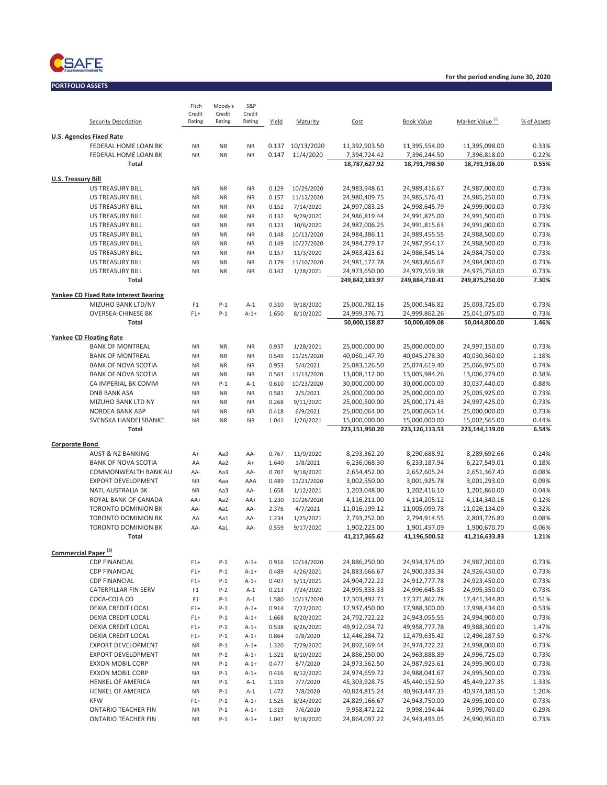

**PORTFOLIO ASSETS**

| Security Description                                    | Fitch<br>Credit<br>Rating | Moody's<br>Credit<br>Rating | <b>S&amp;P</b><br>Credit<br>Rating | Yield          | Maturity                | Cost                           | <b>Book Value</b>              | Market Value <sup>(1)</sup>    | % of Assets    |
|---------------------------------------------------------|---------------------------|-----------------------------|------------------------------------|----------------|-------------------------|--------------------------------|--------------------------------|--------------------------------|----------------|
|                                                         |                           |                             |                                    |                |                         |                                |                                |                                |                |
| <b>U.S. Agencies Fixed Rate</b><br>FEDERAL HOME LOAN BK | <b>NR</b>                 | <b>NR</b>                   | <b>NR</b>                          |                | 0.137 10/13/2020        | 11,392,903.50                  | 11,395,554.00                  | 11,395,098.00                  | 0.33%          |
| <b>FEDERAL HOME LOAN BK</b>                             | <b>NR</b>                 | <b>NR</b>                   | <b>NR</b>                          | 0.147          | 11/4/2020               | 7,394,724.42                   | 7,396,244.50                   | 7,396,818.00                   | 0.22%          |
| Total                                                   |                           |                             |                                    |                |                         | 18,787,627.92                  | 18,791,798.50                  | 18,791,916.00                  | 0.55%          |
| <b>U.S. Treasury Bill</b>                               |                           |                             |                                    |                |                         |                                |                                |                                |                |
| <b>US TREASURY BILL</b>                                 | <b>NR</b>                 | <b>NR</b>                   | <b>NR</b>                          | 0.129          | 10/29/2020              | 24,983,948.61                  | 24,989,416.67                  | 24,987,000.00                  | 0.73%          |
| <b>US TREASURY BILL</b>                                 | <b>NR</b>                 | <b>NR</b>                   | <b>NR</b>                          | 0.157          | 11/12/2020              | 24,980,409.75                  | 24,985,576.41                  | 24,985,250.00                  | 0.73%          |
| <b>US TREASURY BILL</b>                                 | <b>NR</b>                 | <b>NR</b>                   | <b>NR</b>                          | 0.152          | 7/14/2020               | 24,997,083.25                  | 24,998,645.79                  | 24,999,000.00                  | 0.73%          |
| <b>US TREASURY BILL</b>                                 | <b>NR</b>                 | <b>NR</b>                   | <b>NR</b>                          | 0.132          | 9/29/2020               | 24,986,819.44                  | 24,991,875.00                  | 24,991,500.00                  | 0.73%          |
| <b>US TREASURY BILL</b>                                 | <b>NR</b>                 | <b>NR</b>                   | <b>NR</b>                          | 0.123          | 10/6/2020               | 24,987,006.25                  | 24,991,815.63                  | 24,991,000.00                  | 0.73%          |
| <b>US TREASURY BILL</b>                                 | <b>NR</b>                 | <b>NR</b>                   | <b>NR</b>                          | 0.148          | 10/13/2020              | 24,984,386.11                  | 24,989,455.55                  | 24,988,500.00                  | 0.73%          |
| <b>US TREASURY BILL</b><br><b>US TREASURY BILL</b>      | <b>NR</b><br><b>NR</b>    | <b>NR</b><br><b>NR</b>      | <b>NR</b><br><b>NR</b>             | 0.149<br>0.157 | 10/27/2020<br>11/3/2020 | 24,984,279.17<br>24,983,423.61 | 24,987,954.17<br>24,986,545.14 | 24,988,500.00<br>24,984,750.00 | 0.73%<br>0.73% |
| <b>US TREASURY BILL</b>                                 | <b>NR</b>                 | <b>NR</b>                   | <b>NR</b>                          | 0.179          | 11/10/2020              | 24,981,177.78                  | 24,983,866.67                  | 24,984,000.00                  | 0.73%          |
| <b>US TREASURY BILL</b>                                 | <b>NR</b>                 | <b>NR</b>                   | <b>NR</b>                          | 0.142          | 1/28/2021               | 24,973,650.00                  | 24,979,559.38                  | 24,975,750.00                  | 0.73%          |
| Total                                                   |                           |                             |                                    |                |                         | 249,842,183.97                 | 249,884,710.41                 | 249,875,250.00                 | 7.30%          |
| Yankee CD Fixed Rate Interest Bearing                   |                           |                             |                                    |                |                         |                                |                                |                                |                |
| MIZUHO BANK LTD/NY                                      | F <sub>1</sub>            | $P-1$                       | $A-1$                              | 0.310          | 9/18/2020               | 25,000,782.16                  | 25,000,546.82                  | 25.003.725.00                  | 0.73%          |
| <b>OVERSEA-CHINESE BK</b>                               | $F1+$                     | $P-1$                       | $A-1+$                             | 1.650          | 8/10/2020               | 24,999,376.71                  | 24,999,862.26                  | 25,041,075.00                  | 0.73%          |
| <b>Total</b>                                            |                           |                             |                                    |                |                         | 50.000.158.87                  | 50,000,409.08                  | 50,044,800.00                  | 1.46%          |
| <b>Yankee CD Floating Rate</b>                          |                           |                             |                                    |                |                         |                                |                                |                                |                |
| <b>BANK OF MONTREAL</b>                                 | <b>NR</b>                 | <b>NR</b>                   | <b>NR</b>                          | 0.937          | 1/28/2021               | 25,000,000.00                  | 25,000,000.00                  | 24,997,150.00                  | 0.73%          |
| <b>BANK OF MONTREAL</b>                                 | <b>NR</b>                 | <b>NR</b>                   | <b>NR</b>                          | 0.549          | 11/25/2020              | 40,060,147.70                  | 40,045,278.30                  | 40,030,360.00                  | 1.18%          |
| <b>BANK OF NOVA SCOTIA</b>                              | <b>NR</b>                 | <b>NR</b>                   | <b>NR</b>                          | 0.953          | 5/4/2021                | 25,083,126.50                  | 25,074,619.40                  | 25,066,975.00                  | 0.74%          |
| <b>BANK OF NOVA SCOTIA</b>                              | <b>NR</b>                 | <b>NR</b>                   | <b>NR</b>                          | 0.563          | 11/13/2020              | 13,008,112.00                  | 13,005,984.26                  | 13,006,279.00                  | 0.38%          |
| CA IMPERIAL BK COMM                                     | <b>NR</b>                 | $P-1$                       | $A-1$                              | 0.610          | 10/23/2020              | 30,000,000.00                  | 30,000,000.00                  | 30,037,440.00                  | 0.88%          |
| <b>DNB BANK ASA</b>                                     | <b>NR</b>                 | <b>NR</b>                   | <b>NR</b>                          | 0.581          | 2/5/2021                | 25,000,000.00                  | 25,000,000.00                  | 25,005,925.00                  | 0.73%<br>0.73% |
| MIZUHO BANK LTD NY<br><b>NORDEA BANK ABP</b>            | <b>NR</b><br><b>NR</b>    | <b>NR</b><br><b>NR</b>      | <b>NR</b><br><b>NR</b>             | 0.268<br>0.418 | 9/11/2020<br>6/9/2021   | 25,000,500.00<br>25,000,064.00 | 25,000,171.43<br>25,000,060.14 | 24,997,425.00<br>25,000,000.00 | 0.73%          |
| SVENSKA HANDELSBANKE                                    | <b>NR</b>                 | <b>NR</b>                   | <b>NR</b>                          | 1.041          | 1/26/2021               | 15,000,000.00                  | 15,000,000.00                  | 15,002,565.00                  | 0.44%          |
| <b>Total</b>                                            |                           |                             |                                    |                |                         | 223,151,950.20                 | 223,126,113.53                 | 223,144,119.00                 | 6.54%          |
| <b>Corporate Bond</b>                                   |                           |                             |                                    |                |                         |                                |                                |                                |                |
| <b>AUST &amp; NZ BANKING</b>                            | A+                        | Aa3                         | AA-                                | 0.767          | 11/9/2020               | 8,293,362.20                   | 8,290,688.92                   | 8,289,692.66                   | 0.24%          |
| <b>BANK OF NOVA SCOTIA</b>                              | AA                        | Aa2                         | A+                                 | 1.640          | 1/8/2021                | 6,236,068.30                   | 6,233,187.94                   | 6,227,549.01                   | 0.18%          |
| COMMONWEALTH BANK AU                                    | AA-                       | Aa3                         | AA-                                | 0.707          | 9/18/2020               | 2,654,452.00                   | 2,652,605.24                   | 2,651,367.40                   | 0.08%          |
| <b>EXPORT DEVELOPMENT</b>                               | <b>NR</b>                 | Aaa                         | AAA                                | 0.489          | 11/23/2020              | 3,002,550.00                   | 3,001,925.78                   | 3,001,293.00                   | 0.09%          |
| <b>NATL AUSTRALIA BK</b>                                | <b>NR</b>                 | Aa3                         | AA-                                | 1.658          | 1/12/2021               | 1,203,048.00                   | 1,202,416.10                   | 1,201,860.00                   | 0.04%          |
| ROYAL BANK OF CANADA                                    | AA+                       | Aa2                         | AA+                                | 1.230          | 10/26/2020              | 4,116,211.00                   | 4,114,205.12                   | 4,114,340.16                   | 0.12%          |
| <b>TORONTO DOMINION BK</b>                              | AA-                       | Aa1                         | AA-                                | 2.376          | 4/7/2021                | 11,016,199.12                  | 11,005,099.78                  | 11,026,134.09                  | 0.32%          |
| <b>TORONTO DOMINION BK</b><br>TORONTO DOMINION BK       | AA<br>AA-                 | Aa1<br>Aa1                  | AA-<br>AA-                         | 1.234<br>0.559 | 1/25/2021<br>9/17/2020  | 2,793,252.00<br>1,902,223.00   | 2,794,914.55<br>1,901,457.09   | 2,803,726.80<br>1,900,670.70   | 0.08%<br>0.06% |
| Total                                                   |                           |                             |                                    |                |                         | 41,217,365.62                  | 41,196,500.52                  | 41,216,633.83                  | 1.21%          |
|                                                         |                           |                             |                                    |                |                         |                                |                                |                                |                |
| Commercial Paper <sup>(3)</sup><br><b>CDP FINANCIAL</b> | $F1+$                     | $P-1$                       | $A - 1 +$                          | 0.916          | 10/14/2020              | 24,886,250.00                  | 24,934,375.00                  | 24,987,200.00                  | 0.73%          |
| <b>CDP FINANCIAL</b>                                    | $F1+$                     | $P-1$                       | $A-1+$                             | 0.489          | 4/26/2021               | 24,883,666.67                  | 24,900,333.34                  | 24,926,450.00                  | 0.73%          |
| <b>CDP FINANCIAL</b>                                    | $F1+$                     | $P-1$                       | $A - 1 +$                          | 0.407          | 5/11/2021               | 24,904,722.22                  | 24,912,777.78                  | 24,923,450.00                  | 0.73%          |
| CATERPILLAR FIN SERV                                    | F <sub>1</sub>            | $P-2$                       | $A-1$                              | 0.213          | 7/24/2020               | 24,995,333.33                  | 24,996,645.83                  | 24,995,350.00                  | 0.73%          |
| COCA-COLA CO                                            | F <sub>1</sub>            | $P-1$                       | $A-1$                              | 1.580          | 10/13/2020              | 17,303,492.71                  | 17,371,862.78                  | 17,441,344.80                  | 0.51%          |
| DEXIA CREDIT LOCAL                                      | $F1+$                     | $P-1$                       | $A-1+$                             | 0.914          | 7/27/2020               | 17,937,450.00                  | 17,988,300.00                  | 17,998,434.00                  | 0.53%          |
| DEXIA CREDIT LOCAL                                      | $F1+$                     | $P-1$                       | $A - 1 +$                          | 1.668          | 8/20/2020               | 24,792,722.22                  | 24,943,055.55                  | 24,994,900.00                  | 0.73%          |
| DEXIA CREDIT LOCAL                                      | $F1+$                     | $P-1$                       | $A-1+$                             | 0.538          | 8/26/2020               | 49,912,034.72                  | 49,958,777.78                  | 49,988,300.00                  | 1.47%          |
| DEXIA CREDIT LOCAL                                      | $F1+$                     | $P-1$                       | $A-1+$                             | 0.864          | 9/8/2020                | 12,446,284.72                  | 12,479,635.42                  | 12,496,287.50                  | 0.37%          |
| <b>EXPORT DEVELOPMENT</b>                               | <b>NR</b>                 | $P-1$                       | $A-1+$                             | 1.320          | 7/29/2020               | 24,892,569.44                  | 24,974,722.22                  | 24,998,000.00                  | 0.73%          |
| EXPORT DEVELOPMENT                                      | <b>NR</b>                 | $P-1$                       | $A-1+$                             | 1.321          | 8/10/2020               | 24,886,250.00                  | 24,963,888.89                  | 24,996,725.00                  | 0.73%          |
| <b>EXXON MOBIL CORP</b>                                 | NR                        | $P-1$                       | $A - 1 +$                          | 0.477          | 8/7/2020                | 24,973,562.50                  | 24,987,923.61                  | 24,995,900.00                  | 0.73%          |
| <b>EXXON MOBIL CORP</b><br><b>HENKEL OF AMERICA</b>     | NR<br><b>NR</b>           | $P-1$<br>$P-1$              | $A - 1 +$<br>$A-1$                 | 0.416<br>1.319 | 8/12/2020<br>7/7/2020   | 24,974,659.72<br>45,303,928.75 | 24,988,041.67<br>45,440,152.50 | 24,995,500.00<br>45,449,227.35 | 0.73%<br>1.33% |
| HENKEL OF AMERICA                                       | <b>NR</b>                 | $P-1$                       | $A-1$                              | 1.472          | 7/8/2020                | 40,824,815.24                  | 40,963,447.33                  | 40,974,180.50                  | 1.20%          |
| <b>KFW</b>                                              | $F1+$                     | $P-1$                       | $A-1+$                             | 1.525          | 8/24/2020               | 24,829,166.67                  | 24,943,750.00                  | 24,995,100.00                  | 0.73%          |
| <b>ONTARIO TEACHER FIN</b>                              | <b>NR</b>                 | $P-1$                       | $A-1+$                             | 1.319          | 7/6/2020                | 9,958,472.22                   | 9,998,194.44                   | 9,999,760.00                   | 0.29%          |
| <b>ONTARIO TEACHER FIN</b>                              | <b>NR</b>                 | $P-1$                       | $A-1+$                             | 1.047          | 9/18/2020               | 24,864,097.22                  | 24,943,493.05                  | 24,990,950.00                  | 0.73%          |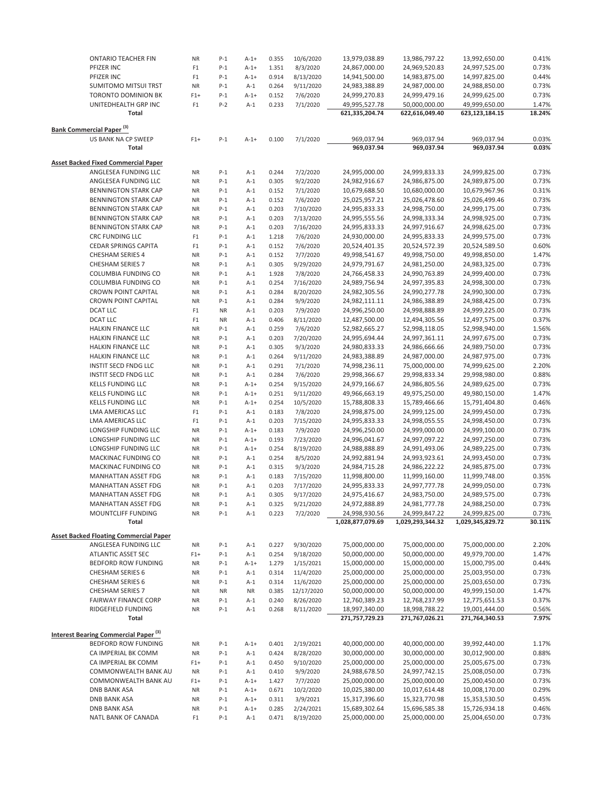| <b>ONTARIO TEACHER FIN</b>                       | <b>NR</b>      | $P-1$     | $A-1+$    | 0.355 | 10/6/2020  | 13,979,038.89    | 13,986,797.22    | 13,992,650.00    | 0.41%  |
|--------------------------------------------------|----------------|-----------|-----------|-------|------------|------------------|------------------|------------------|--------|
|                                                  |                |           |           |       |            |                  |                  |                  |        |
| PFIZER INC                                       | F <sub>1</sub> | $P-1$     | $A-1+$    | 1.351 | 8/3/2020   | 24,867,000.00    | 24,969,520.83    | 24,997,525.00    | 0.73%  |
| PFIZER INC                                       | F <sub>1</sub> | $P-1$     | $A - 1 +$ | 0.914 | 8/13/2020  | 14,941,500.00    | 14,983,875.00    | 14,997,825.00    | 0.44%  |
| <b>SUMITOMO MITSUI TRST</b>                      | <b>NR</b>      | $P-1$     | $A-1$     | 0.264 | 9/11/2020  | 24,983,388.89    | 24,987,000.00    | 24,988,850.00    | 0.73%  |
| TORONTO DOMINION BK                              | $F1+$          | $P-1$     | $A-1+$    | 0.152 | 7/6/2020   | 24,999,270.83    | 24,999,479.16    | 24,999,625.00    | 0.73%  |
| UNITEDHEALTH GRP INC                             | F1             | $P-2$     | $A-1$     | 0.233 | 7/1/2020   | 49,995,527.78    | 50,000,000.00    | 49,999,650.00    | 1.47%  |
| Total                                            |                |           |           |       |            | 621,335,204.74   | 622,616,049.40   | 623,123,184.15   | 18.24% |
|                                                  |                |           |           |       |            |                  |                  |                  |        |
| <b>Bank Commercial Paper<sup>(3)</sup></b>       |                |           |           |       |            |                  |                  |                  |        |
| US BANK NA CP SWEEP                              | $F1+$          | $P-1$     | $A-1+$    | 0.100 | 7/1/2020   | 969,037.94       | 969,037.94       | 969,037.94       | 0.03%  |
| <b>Total</b>                                     |                |           |           |       |            | 969,037.94       | 969,037.94       | 969,037.94       | 0.03%  |
|                                                  |                |           |           |       |            |                  |                  |                  |        |
| <b>Asset Backed Fixed Commercial Paper</b>       |                |           |           |       |            |                  |                  |                  |        |
| ANGLESEA FUNDING LLC                             | ΝR             | $P-1$     | $A-1$     | 0.244 | 7/2/2020   | 24,995,000.00    | 24,999,833.33    | 24,999,825.00    | 0.73%  |
|                                                  |                |           |           |       |            |                  |                  |                  |        |
| ANGLESEA FUNDING LLC                             | <b>NR</b>      | $P-1$     | $A-1$     | 0.305 | 9/2/2020   | 24,982,916.67    | 24,986,875.00    | 24,989,875.00    | 0.73%  |
| <b>BENNINGTON STARK CAP</b>                      | NR             | $P-1$     | $A-1$     | 0.152 | 7/1/2020   | 10,679,688.50    | 10,680,000.00    | 10,679,967.96    | 0.31%  |
| <b>BENNINGTON STARK CAP</b>                      | <b>NR</b>      | $P-1$     | $A-1$     | 0.152 | 7/6/2020   | 25,025,957.21    | 25,026,478.60    | 25,026,499.46    | 0.73%  |
| <b>BENNINGTON STARK CAP</b>                      | <b>NR</b>      | $P-1$     | $A-1$     | 0.203 | 7/10/2020  | 24,995,833.33    | 24,998,750.00    | 24,999,175.00    | 0.73%  |
| <b>BENNINGTON STARK CAP</b>                      | <b>NR</b>      | $P-1$     | $A-1$     | 0.203 | 7/13/2020  | 24,995,555.56    | 24,998,333.34    | 24,998,925.00    | 0.73%  |
| <b>BENNINGTON STARK CAP</b>                      | <b>NR</b>      | $P-1$     | $A-1$     | 0.203 | 7/16/2020  | 24,995,833.33    | 24,997,916.67    | 24,998,625.00    | 0.73%  |
| <b>CRC FUNDING LLC</b>                           | F <sub>1</sub> | $P-1$     | $A-1$     | 1.218 | 7/6/2020   | 24,930,000.00    | 24,995,833.33    | 24,999,575.00    | 0.73%  |
| <b>CEDAR SPRINGS CAPITA</b>                      | F <sub>1</sub> | $P-1$     | $A-1$     | 0.152 | 7/6/2020   | 20,524,401.35    | 20,524,572.39    | 20,524,589.50    | 0.60%  |
|                                                  |                |           |           |       |            |                  |                  |                  |        |
| <b>CHESHAM SERIES 4</b>                          | <b>NR</b>      | $P-1$     | $A-1$     | 0.152 | 7/7/2020   | 49,998,541.67    | 49,998,750.00    | 49,998,850.00    | 1.47%  |
| CHESHAM SERIES 7                                 | <b>NR</b>      | $P-1$     | $A-1$     | 0.305 | 9/29/2020  | 24,979,791.67    | 24,981,250.00    | 24,983,325.00    | 0.73%  |
| COLUMBIA FUNDING CO                              | <b>NR</b>      | $P-1$     | $A-1$     | 1.928 | 7/8/2020   | 24,766,458.33    | 24,990,763.89    | 24,999,400.00    | 0.73%  |
| COLUMBIA FUNDING CO                              | <b>NR</b>      | $P-1$     | $A-1$     | 0.254 | 7/16/2020  | 24,989,756.94    | 24,997,395.83    | 24,998,300.00    | 0.73%  |
| <b>CROWN POINT CAPITAL</b>                       | <b>NR</b>      | $P-1$     | $A-1$     | 0.284 | 8/20/2020  | 24,982,305.56    | 24,990,277.78    | 24,990,300.00    | 0.73%  |
| <b>CROWN POINT CAPITAL</b>                       | <b>NR</b>      | $P-1$     | $A-1$     | 0.284 | 9/9/2020   | 24,982,111.11    | 24,986,388.89    | 24,988,425.00    | 0.73%  |
| <b>DCAT LLC</b>                                  | F <sub>1</sub> | <b>NR</b> | $A-1$     | 0.203 | 7/9/2020   | 24,996,250.00    | 24,998,888.89    | 24,999,225.00    | 0.73%  |
| <b>DCAT LLC</b>                                  | F1             | <b>NR</b> | $A-1$     | 0.406 | 8/11/2020  | 12,487,500.00    | 12,494,305.56    | 12,497,575.00    | 0.37%  |
|                                                  |                |           |           |       |            |                  |                  |                  |        |
| HALKIN FINANCE LLC                               | <b>NR</b>      | $P-1$     | $A-1$     | 0.259 | 7/6/2020   | 52,982,665.27    | 52,998,118.05    | 52,998,940.00    | 1.56%  |
| HALKIN FINANCE LLC                               | <b>NR</b>      | $P-1$     | $A-1$     | 0.203 | 7/20/2020  | 24,995,694.44    | 24,997,361.11    | 24,997,675.00    | 0.73%  |
| HALKIN FINANCE LLC                               | <b>NR</b>      | $P-1$     | $A-1$     | 0.305 | 9/3/2020   | 24,980,833.33    | 24,986,666.66    | 24,989,750.00    | 0.73%  |
| HALKIN FINANCE LLC                               | <b>NR</b>      | $P-1$     | $A-1$     | 0.264 | 9/11/2020  | 24,983,388.89    | 24,987,000.00    | 24,987,975.00    | 0.73%  |
| INSTIT SECD FNDG LLC                             | <b>NR</b>      | $P-1$     | $A-1$     | 0.291 | 7/1/2020   | 74,998,236.11    | 75,000,000.00    | 74,999,625.00    | 2.20%  |
| INSTIT SECD FNDG LLC                             | <b>NR</b>      | $P-1$     | $A-1$     | 0.284 | 7/6/2020   | 29,998,366.67    | 29,998,833.34    | 29,998,980.00    | 0.88%  |
| <b>KELLS FUNDING LLC</b>                         | <b>NR</b>      | $P-1$     | $A-1+$    | 0.254 | 9/15/2020  | 24,979,166.67    | 24,986,805.56    | 24,989,625.00    | 0.73%  |
| <b>KELLS FUNDING LLC</b>                         | <b>NR</b>      | $P-1$     | $A - 1 +$ | 0.251 | 9/11/2020  | 49,966,663.19    | 49,975,250.00    | 49,980,150.00    | 1.47%  |
|                                                  |                |           |           |       |            |                  |                  |                  |        |
| <b>KELLS FUNDING LLC</b>                         | <b>NR</b>      | $P-1$     | $A - 1 +$ | 0.254 | 10/5/2020  | 15,788,808.33    | 15,789,466.66    | 15,791,404.80    | 0.46%  |
| LMA AMERICAS LLC                                 | F <sub>1</sub> | $P-1$     | $A-1$     | 0.183 | 7/8/2020   | 24,998,875.00    | 24,999,125.00    | 24,999,450.00    | 0.73%  |
| LMA AMERICAS LLC                                 | F <sub>1</sub> | $P-1$     | $A-1$     | 0.203 | 7/15/2020  | 24,995,833.33    | 24,998,055.55    | 24,998,450.00    | 0.73%  |
| LONGSHIP FUNDING LLC                             | <b>NR</b>      | $P-1$     | $A - 1 +$ | 0.183 | 7/9/2020   | 24,996,250.00    | 24,999,000.00    | 24,999,100.00    | 0.73%  |
| LONGSHIP FUNDING LLC                             | <b>NR</b>      | $P-1$     | $A-1+$    | 0.193 | 7/23/2020  | 24,996,041.67    | 24,997,097.22    | 24,997,250.00    | 0.73%  |
| LONGSHIP FUNDING LLC                             | <b>NR</b>      | $P-1$     | $A - 1 +$ | 0.254 | 8/19/2020  | 24,988,888.89    | 24,991,493.06    | 24,989,225.00    | 0.73%  |
| MACKINAC FUNDING CO                              | <b>NR</b>      | $P-1$     | $A-1$     | 0.254 | 8/5/2020   | 24,992,881.94    | 24,993,923.61    | 24,993,450.00    | 0.73%  |
| MACKINAC FUNDING CO                              |                | $P-1$     | $A-1$     | 0.315 | 9/3/2020   | 24,984,715.28    | 24,986,222.22    | 24,985,875.00    | 0.73%  |
|                                                  | <b>NR</b>      |           |           |       |            |                  |                  |                  |        |
| <b>MANHATTAN ASSET FDG</b>                       | <b>NR</b>      | $P-1$     | $A-1$     | 0.183 | 7/15/2020  | 11,998,800.00    | 11,999,160.00    | 11,999,748.00    | 0.35%  |
| <b>MANHATTAN ASSET FDG</b>                       | <b>NR</b>      | $P-1$     | $A-1$     | 0.203 | 7/17/2020  | 24,995,833.33    | 24,997,777.78    | 24,999,050.00    | 0.73%  |
| MANHATTAN ASSET FDG                              | NR             | $P-1$     | $A-1$     | 0.305 | 9/17/2020  | 24,975,416.67    | 24,983,750.00    | 24,989,575.00    | 0.73%  |
| MANHATTAN ASSET FDG                              | <b>NR</b>      | $P-1$     | $A-1$     | 0.325 | 9/21/2020  | 24,972,888.89    | 24,981,777.78    | 24,988,250.00    | 0.73%  |
| MOUNTCLIFF FUNDING                               | <b>NR</b>      | $P-1$     | $A-1$     | 0.223 | 7/2/2020   | 24,998,930.56    | 24,999,847.22    | 24,999,825.00    | 0.73%  |
| Total                                            |                |           |           |       |            | 1,028,877,079.69 | 1,029,293,344.32 | 1,029,345,829.72 | 30.11% |
|                                                  |                |           |           |       |            |                  |                  |                  |        |
| <b>Asset Backed Floating Commercial Paper</b>    |                |           |           |       |            |                  |                  |                  |        |
| ANGLESEA FUNDING LLC                             | ΝR             | $P-1$     | $A-1$     | 0.227 | 9/30/2020  | 75,000,000.00    | 75,000,000.00    | 75,000,000.00    | 2.20%  |
| ATLANTIC ASSET SEC                               | $F1+$          | $P-1$     | $A-1$     | 0.254 | 9/18/2020  | 50,000,000.00    | 50,000,000.00    | 49,979,700.00    | 1.47%  |
| BEDFORD ROW FUNDING                              | <b>NR</b>      | $P-1$     | $A-1+$    | 1.279 | 1/15/2021  | 15,000,000.00    | 15,000,000.00    | 15,000,795.00    | 0.44%  |
| <b>CHESHAM SERIES 6</b>                          | ΝR             | $P-1$     | $A-1$     | 0.314 | 11/4/2020  | 25,000,000.00    | 25,000,000.00    | 25,003,950.00    | 0.73%  |
| <b>CHESHAM SERIES 6</b>                          | ΝR             | $P-1$     | $A-1$     | 0.314 | 11/6/2020  | 25,000,000.00    | 25,000,000.00    | 25,003,650.00    | 0.73%  |
|                                                  |                |           |           |       |            |                  |                  |                  |        |
| <b>CHESHAM SERIES 7</b>                          | ΝR             | <b>NR</b> | <b>NR</b> | 0.385 | 12/17/2020 | 50,000,000.00    | 50,000,000.00    | 49,999,150.00    | 1.47%  |
| <b>FAIRWAY FINANCE CORP</b>                      | <b>NR</b>      | $P-1$     | $A-1$     | 0.240 | 8/26/2020  | 12,760,389.23    | 12,768,237.99    | 12,775,651.53    | 0.37%  |
| RIDGEFIELD FUNDING                               | <b>NR</b>      | $P-1$     | $A-1$     | 0.268 | 8/11/2020  | 18,997,340.00    | 18,998,788.22    | 19,001,444.00    | 0.56%  |
| Total                                            |                |           |           |       |            | 271,757,729.23   | 271,767,026.21   | 271,764,340.53   | 7.97%  |
|                                                  |                |           |           |       |            |                  |                  |                  |        |
| Interest Bearing Commercial Paper <sup>(3)</sup> |                |           |           |       |            |                  |                  |                  |        |
| BEDFORD ROW FUNDING                              | ΝR             | $P-1$     | $A-1+$    | 0.401 | 2/19/2021  | 40,000,000.00    | 40,000,000.00    | 39,992,440.00    | 1.17%  |
| CA IMPERIAL BK COMM                              | ΝR             | $P-1$     | $A-1$     | 0.424 | 8/28/2020  | 30,000,000.00    | 30,000,000.00    | 30,012,900.00    | 0.88%  |
| CA IMPERIAL BK COMM                              | $F1+$          | $P-1$     | $A-1$     | 0.450 | 9/10/2020  | 25,000,000.00    | 25,000,000.00    | 25,005,675.00    | 0.73%  |
| COMMONWEALTH BANK AU                             | ΝR             | $P-1$     | $A-1$     | 0.410 | 9/9/2020   | 24,988,678.50    | 24,997,742.15    | 25,008,050.00    | 0.73%  |
|                                                  |                |           |           |       |            |                  |                  |                  |        |
| COMMONWEALTH BANK AU                             | $F1+$          | $P-1$     | $A - 1 +$ | 1.427 | 7/7/2020   | 25,000,000.00    | 25,000,000.00    | 25,000,450.00    | 0.73%  |
| <b>DNB BANK ASA</b>                              | ΝR             | $P-1$     | $A - 1 +$ | 0.671 | 10/2/2020  | 10,025,380.00    | 10,017,614.48    | 10,008,170.00    | 0.29%  |
| <b>DNB BANK ASA</b>                              | ΝR             | $P-1$     | $A-1+$    | 0.311 | 3/9/2021   | 15,317,396.60    | 15,323,770.98    | 15,353,530.50    | 0.45%  |
| DNB BANK ASA                                     | ΝR             | $P-1$     | $A-1+$    | 0.285 | 2/24/2021  | 15,689,302.64    | 15,696,585.38    | 15,726,934.18    | 0.46%  |
| NATL BANK OF CANADA                              | F <sub>1</sub> | $P-1$     | $A-1$     | 0.471 | 8/19/2020  | 25,000,000.00    | 25,000,000.00    | 25,004,650.00    | 0.73%  |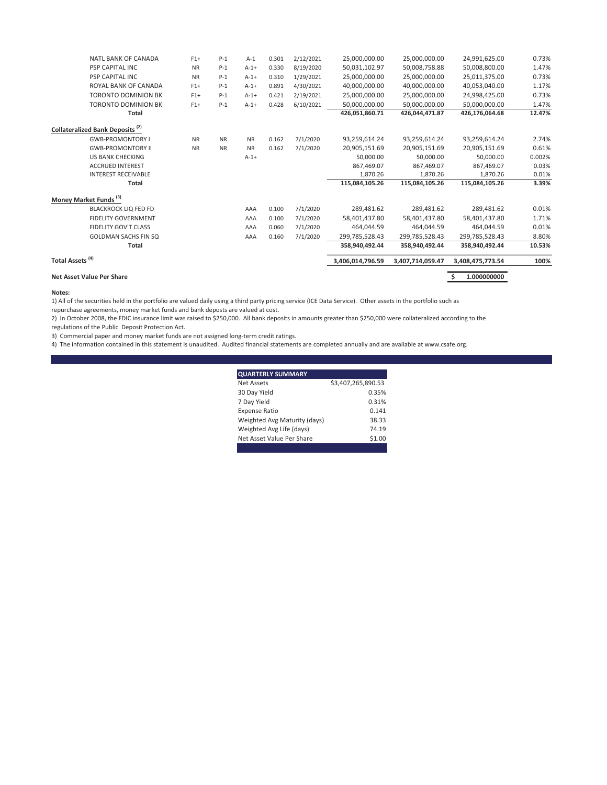| <b>NATL BANK OF CANADA</b>                  | $F1+$     | $P-1$     | $A-1$     | 0.301 | 2/12/2021 | 25,000,000.00    | 25,000,000.00    | 24,991,625.00    | 0.73%  |
|---------------------------------------------|-----------|-----------|-----------|-------|-----------|------------------|------------------|------------------|--------|
| <b>PSP CAPITAL INC</b>                      | <b>NR</b> | $P-1$     | $A - 1 +$ | 0.330 | 8/19/2020 | 50,031,102.97    | 50,008,758.88    | 50,008,800.00    | 1.47%  |
| <b>PSP CAPITAL INC</b>                      | <b>NR</b> | $P-1$     | $A-1+$    | 0.310 | 1/29/2021 | 25,000,000.00    | 25,000,000.00    | 25,011,375.00    | 0.73%  |
| ROYAL BANK OF CANADA                        | $F1+$     | $P-1$     | $A-1+$    | 0.891 | 4/30/2021 | 40.000.000.00    | 40,000,000.00    | 40,053,040.00    | 1.17%  |
| <b>TORONTO DOMINION BK</b>                  | $F1+$     | $P-1$     | $A-1+$    | 0.421 | 2/19/2021 | 25.000.000.00    | 25.000.000.00    | 24.998.425.00    | 0.73%  |
| <b>TORONTO DOMINION BK</b>                  | $F1+$     | $P-1$     | $A-1+$    | 0.428 | 6/10/2021 | 50,000,000.00    | 50,000,000.00    | 50,000,000.00    | 1.47%  |
| <b>Total</b>                                |           |           |           |       |           | 426.051.860.71   | 426.044.471.87   | 426,176,064.68   | 12.47% |
| Collateralized Bank Deposits <sup>(2)</sup> |           |           |           |       |           |                  |                  |                  |        |
| <b>GWB-PROMONTORY I</b>                     | <b>NR</b> | <b>NR</b> | <b>NR</b> | 0.162 | 7/1/2020  | 93,259,614.24    | 93,259,614.24    | 93,259,614.24    | 2.74%  |
| <b>GWB-PROMONTORY II</b>                    | <b>NR</b> | <b>NR</b> | <b>NR</b> | 0.162 | 7/1/2020  | 20,905,151.69    | 20,905,151.69    | 20,905,151.69    | 0.61%  |
| <b>US BANK CHECKING</b>                     |           |           | $A-1+$    |       |           | 50,000.00        | 50,000.00        | 50,000.00        | 0.002% |
| <b>ACCRUED INTEREST</b>                     |           |           |           |       |           | 867,469.07       | 867,469.07       | 867,469.07       | 0.03%  |
| <b>INTEREST RECEIVABLE</b>                  |           |           |           |       |           | 1,870.26         | 1,870.26         | 1,870.26         | 0.01%  |
| Total                                       |           |           |           |       |           | 115,084,105.26   | 115,084,105.26   | 115,084,105.26   | 3.39%  |
| Money Market Funds <sup>(3)</sup>           |           |           |           |       |           |                  |                  |                  |        |
| <b>BLACKROCK LIQ FED FD</b>                 |           |           | AAA       | 0.100 | 7/1/2020  | 289,481.62       | 289,481.62       | 289,481.62       | 0.01%  |
| <b>FIDELITY GOVERNMENT</b>                  |           |           | AAA       | 0.100 | 7/1/2020  | 58,401,437.80    | 58,401,437.80    | 58,401,437.80    | 1.71%  |
| FIDELITY GOV'T CLASS                        |           |           | AAA       | 0.060 | 7/1/2020  | 464.044.59       | 464.044.59       | 464,044.59       | 0.01%  |
| <b>GOLDMAN SACHS FIN SQ</b>                 |           |           | AAA       | 0.160 | 7/1/2020  | 299,785,528.43   | 299.785.528.43   | 299,785,528.43   | 8.80%  |
| <b>Total</b>                                |           |           |           |       |           | 358,940,492.44   | 358,940,492.44   | 358,940,492.44   | 10.53% |
| Total Assets <sup>(4)</sup>                 |           |           |           |       |           | 3,406,014,796.59 | 3,407,714,059.47 | 3,408,475,773.54 | 100%   |
| Net Asset Value Per Share                   |           |           |           |       |           |                  |                  | 1.000000000      |        |
|                                             |           |           |           |       |           |                  |                  |                  |        |

#### **Notes:**

1) All of the securities held in the portfolio are valued daily using a third party pricing service (ICE Data Service). Other assets in the portfolio such as

repurchase agreements, money market funds and bank deposts are valued at cost.

2) In October 2008, the FDIC insurance limit was raised to \$250,000. All bank deposits in amounts greater than \$250,000 were collateralized according to the regulations of the Public Deposit Protection Act.

3) Commercial paper and money market funds are not assigned long-term credit ratings.

4) The information contained in this statement is unaudited. Audited financial statements are completed annually and are available at www.csafe.org.

| <b>QUARTERLY SUMMARY</b>     |                    |
|------------------------------|--------------------|
| Net Assets                   | \$3,407,265,890.53 |
| 30 Day Yield                 | 0.35%              |
| 7 Day Yield                  | 0.31%              |
| <b>Expense Ratio</b>         | 0.141              |
| Weighted Avg Maturity (days) | 38.33              |
| Weighted Avg Life (days)     | 74.19              |
| Net Asset Value Per Share    | \$1.00             |
|                              |                    |